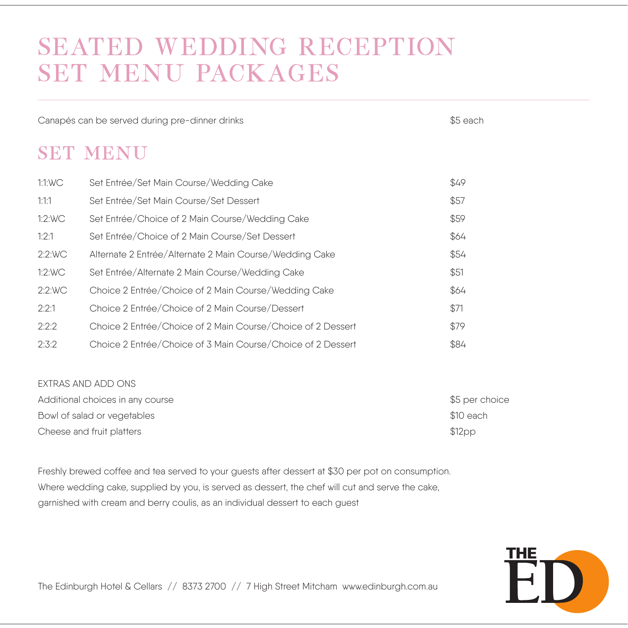## SEATED WEDDING RECEPTION SET MENU PACKAGES

Canapés can be served during pre-dinner drinks the state of the state of the state of the SS each

## SET MENU

| 1:1:WC | Set Entrée/Set Main Course/Wedding Cake                     | \$49 |
|--------|-------------------------------------------------------------|------|
| 1:1:1  | Set Entrée/Set Main Course/Set Dessert                      | \$57 |
| 1:2:WC | Set Entrée/Choice of 2 Main Course/Wedding Cake             | \$59 |
| 1:2:1  | Set Entrée/Choice of 2 Main Course/Set Dessert              | \$64 |
| 2:2:WC | Alternate 2 Entrée/Alternate 2 Main Course/Wedding Cake     | \$54 |
| 1:2:WC | Set Entrée/Alternate 2 Main Course/Wedding Cake             | \$51 |
| 2:2:WC | Choice 2 Entrée/Choice of 2 Main Course/Wedding Cake        | \$64 |
| 2:2:1  | Choice 2 Entrée/Choice of 2 Main Course/Dessert             | \$71 |
| 2:2:2  | Choice 2 Entrée/Choice of 2 Main Course/Choice of 2 Dessert | \$79 |
| 2:3:2  | Choice 2 Entrée/Choice of 3 Main Course/Choice of 2 Dessert | \$84 |

#### EXTRAS AND ADD ONS

| Additional choices in any course | $$5$ per choice    |
|----------------------------------|--------------------|
| Bowl of salad or vegetables      | \$10 each          |
| Cheese and fruit platters        | \$12 <sub>DP</sub> |

Freshly brewed coffee and tea served to your guests after dessert at \$30 per pot on consumption. Where wedding cake, supplied by you, is served as dessert, the chef will cut and serve the cake, garnished with cream and berry coulis, as an individual dessert to each guest



The Edinburgh Hotel & Cellars // 8373 2700 // 7 High Street Mitcham www.edinburgh.com.au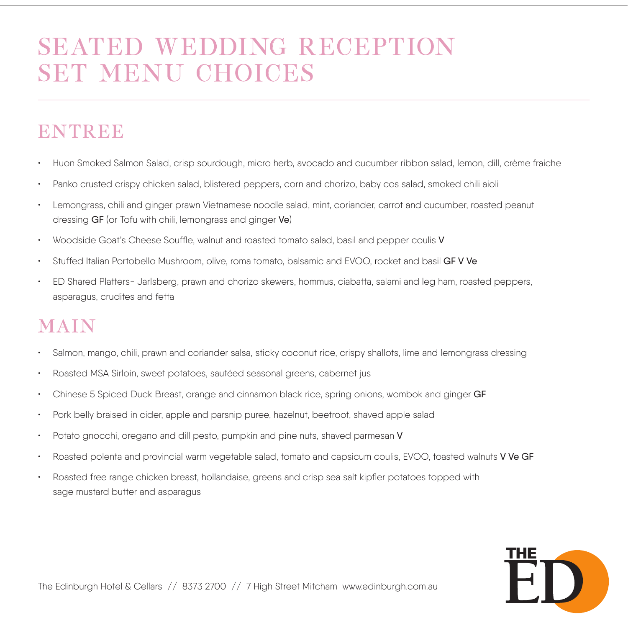# SEATED WEDDING RECEPTION SET MENU CHOICES

## **ENTREE**

- Huon Smoked Salmon Salad, crisp sourdough, micro herb, avocado and cucumber ribbon salad, lemon, dill, crème fraiche
- Panko crusted crispy chicken salad, blistered peppers, corn and chorizo, baby cos salad, smoked chili aioli
- Lemongrass, chili and ginger prawn Vietnamese noodle salad, mint, coriander, carrot and cucumber, roasted peanut dressing GF (or Tofu with chili, lemongrass and ginger Ve)
- Woodside Goat's Cheese Souffle, walnut and roasted tomato salad, basil and pepper coulis V
- Stuffed Italian Portobello Mushroom, olive, roma tomato, balsamic and EVOO, rocket and basil GF V Ve
- ED Shared Platters- Jarlsberg, prawn and chorizo skewers, hommus, ciabatta, salami and leg ham, roasted peppers, asparagus, crudites and fetta

## MAIN

- Salmon, mango, chili, prawn and coriander salsa, sticky coconut rice, crispy shallots, lime and lemongrass dressing
- Roasted MSA Sirloin, sweet potatoes, sautéed seasonal greens, cabernet jus
- Chinese 5 Spiced Duck Breast, orange and cinnamon black rice, spring onions, wombok and ginger GF
- Pork belly braised in cider, apple and parsnip puree, hazelnut, beetroot, shaved apple salad
- Potato gnocchi, oregano and dill pesto, pumpkin and pine nuts, shaved parmesan V
- Roasted polenta and provincial warm vegetable salad, tomato and capsicum coulis, EVOO, toasted walnuts VVe GF
- Roasted free range chicken breast, hollandaise, greens and crisp sea salt kipfler potatoes topped with sage mustard butter and asparagus

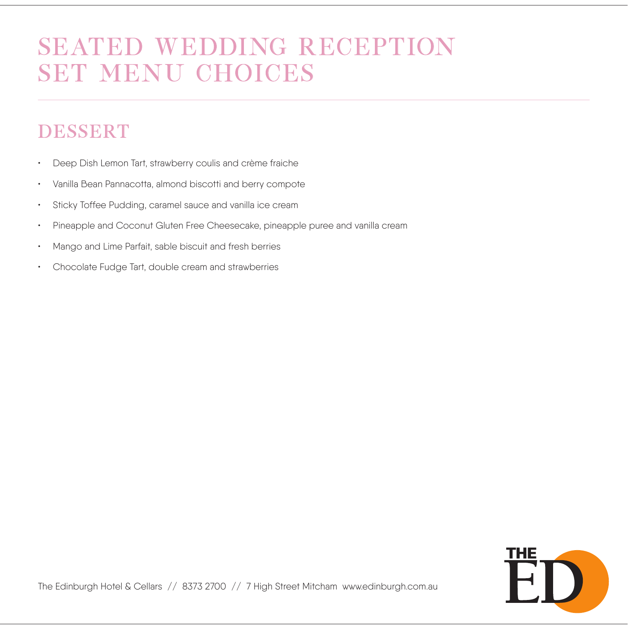# SEATED WEDDING RECEPTION SET MENU CHOICES

## DESSERT

- Deep Dish Lemon Tart, strawberry coulis and crème fraiche
- Vanilla Bean Pannacotta, almond biscotti and berry compote
- Sticky Toffee Pudding, caramel sauce and vanilla ice cream
- Pineapple and Coconut Gluten Free Cheesecake, pineapple puree and vanilla cream
- Mango and Lime Parfait, sable biscuit and fresh berries
- Chocolate Fudge Tart, double cream and strawberries

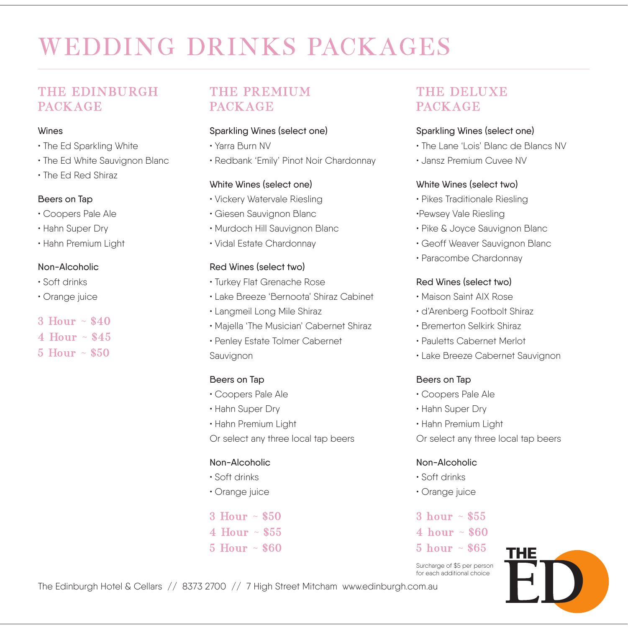# WEDDING DRINKS PACKAGES

### THE EDINBURGH **PACKAGE**

#### Wines

- The Ed Sparkling White
- The Ed White Sauvignon Blanc
- The Ed Red Shiraz

#### Beers on Tap

- Coopers Pale Ale
- Hahn Super Dry
- Hahn Premium Light

#### Non-Alcoholic

- Soft drinks
- Orange juice
- $3$  Hour  $\sim$  \$40
- 4 Hour ~ \$45
- 5 Hour ~ \$50

### THE PREMIUM **PACKAGE**

#### Sparkling Wines (select one)

- Yarra Burn NV
- Redbank 'Emily' Pinot Noir Chardonnay

#### White Wines (select one)

- Vickery Watervale Riesling
- Giesen Sauvignon Blanc
- Murdoch Hill Sauvignon Blanc
- Vidal Estate Chardonnay

#### Red Wines (select two)

- Turkey Flat Grenache Rose
- Lake Breeze 'Bernoota' Shiraz Cabinet
- Langmeil Long Mile Shiraz
- Majella 'The Musician' Cabernet Shiraz
- Penley Estate Tolmer Cabernet

Sauvignon

#### Beers on Tap

- Coopers Pale Ale
- Hahn Super Dry
- Hahn Premium Light

Or select any three local tap beers

#### Non-Alcoholic

- Soft drinks
- Orange juice
- $3$  Hour  $\sim$  \$50
- 4 Hour  $\sim$  \$55
- 5 Hour ~ \$60

### THE DELUXE PACKAGE

#### Sparkling Wines (select one)

- The Lane 'Lois' Blanc de Blancs NV
- Jansz Premium Cuvee NV

#### White Wines (select two)

- Pikes Traditionale Riesling
- •Pewsey Vale Riesling
- Pike & Joyce Sauvignon Blanc
- Geoff Weaver Sauvignon Blanc
- Paracombe Chardonnay

#### Red Wines (select two)

- Maison Saint AIX Rose
- d'Arenberg Footbolt Shiraz
- Bremerton Selkirk Shiraz
- Pauletts Cabernet Merlot
- Lake Breeze Cabernet Sauvignon

#### Beers on Tap

- Coopers Pale Ale
- Hahn Super Dry
- Hahn Premium Light

Or select any three local tap beers

#### Non-Alcoholic

- Soft drinks
- Orange juice
- 3 hour  $\sim$  \$55
- 4 hour  $\sim$  \$60
- $5 \text{ hour} \sim $65$

Surcharge of \$5 per person for each additional choice



The Edinburgh Hotel & Cellars // 8373 2700 // 7 High Street Mitcham www.edinburgh.com.au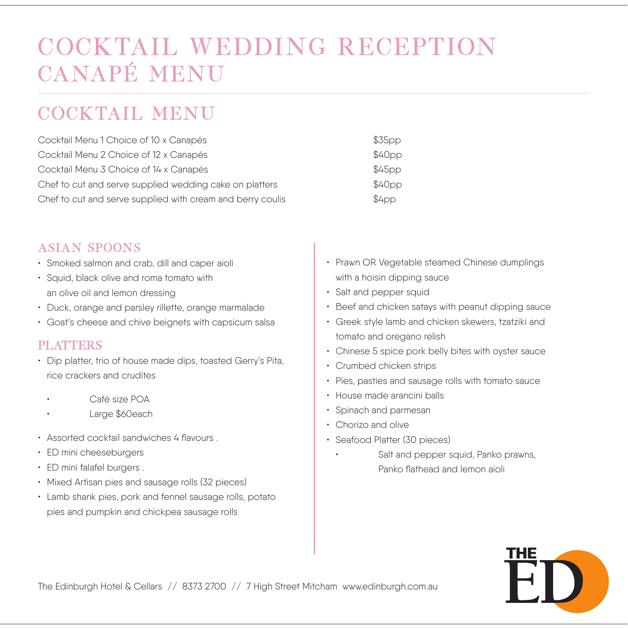## COCKTAIL WEDDING RECEPTION CANAPÉ MENU

## C OCKTAIL MENU

| Cocktail Menu 1 Choice of 10 x Canapés                     | \$35pp            |
|------------------------------------------------------------|-------------------|
| Cocktail Menu 2 Choice of 12 x Canapés                     | \$40pp            |
| Cocktail Menu 3 Choice of 14 x Canapés                     | \$45pp            |
| Chef to cut and serve supplied wedding cake on platters    | \$40pp            |
| Chef to cut and serve supplied with cream and berry coulis | \$4 <sub>DD</sub> |

### ASIAN SPOONS

- Smoked salmon and crab, dill and caper aioli
- Squid, black olive and roma tomato with an olive oil and lemon dressing
- Duck, orange and parsley rillette, orange marmalade
- Goat's cheese and chive beignets with capsicum salsa

#### PLATTERS

- Dip platter, trio of house made dips, toasted Gerry's Pita, rice crackers and crudites
	- Café size POA
	- Large \$60each
- Assorted cocktail sandwiches 4 flavours .
- ED mini cheeseburgers
- ED mini falafel burgers .
- Mixed Artisan pies and sausage rolls (32 pieces)
- Lamb shank pies, pork and fennel sausage rolls, potato pies and pumpkin and chickpea sausage rolls
- Prawn OR Vegetable steamed Chinese dumplings with a hoisin dipping sauce
- Salt and pepper squid
- Beef and chicken satays with peanut dipping sauce
- Greek style lamb and chicken skewers, tzatziki and tomato and oregano relish
- Chinese 5 spice pork belly bites with oyster sauce
- Crumbed chicken strips
- Pies, pasties and sausage rolls with tomato sauce
- House made arancini balls
- Spinach and parmesan
- Chorizo and olive
- Seafood Platter (30 pieces)
	- Salt and pepper squid, Panko prawns, Panko flathead and lemon aioli

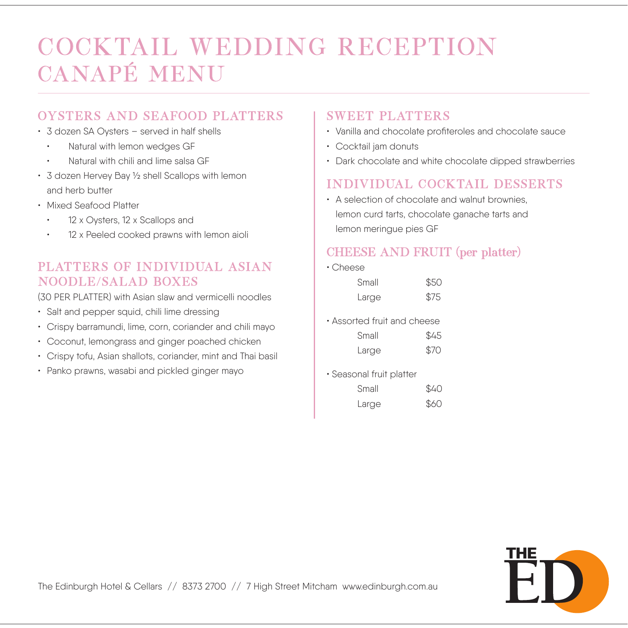# COCKTAIL WEDDING RECEPTION CANAPÉ MENU

## OYSTERS AND SEAFOOD PLATTERS

- 3 dozen SA Oysters served in half shells
	- Natural with lemon wedges GF
	- Natural with chili and lime salsa GF
- 3 dozen Hervey Bay ½ shell Scallops with lemon and herb butter
- Mixed Seafood Platter
	- 12 x Oysters, 12 x Scallops and
	- 12 x Peeled cooked prawns with lemon aioli

### PLATTERS OF INDIVIDUAL ASIAN NOODLE/SALAD BOXES

(30 PER PLATTER) with Asian slaw and vermicelli noodles

- Salt and pepper squid, chili lime dressing
- Crispy barramundi, lime, corn, coriander and chili mayo
- Coconut, lemongrass and ginger poached chicken
- Crispy tofu, Asian shallots, coriander, mint and Thai basil
- Panko prawns, wasabi and pickled ginger mayo

### SWEET PLATTERS

- Vanilla and chocolate profiteroles and chocolate sauce
- Cocktail jam donuts
- Dark chocolate and white chocolate dipped strawberries

## INDIVIDUAL COCKTAIL DESSERTS

• A selection of chocolate and walnut brownies, lemon curd tarts, chocolate ganache tarts and lemon meringue pies GF

### CHEESE AND FRUIT (per platter)

• Cheese

| Small | \$50 |
|-------|------|
| Large | \$75 |

• Assorted fruit and cheese

| Small | \$45 |
|-------|------|
| Large | \$70 |

• Seasonal fruit platter

| Small | \$40 |
|-------|------|
| Large | \$60 |